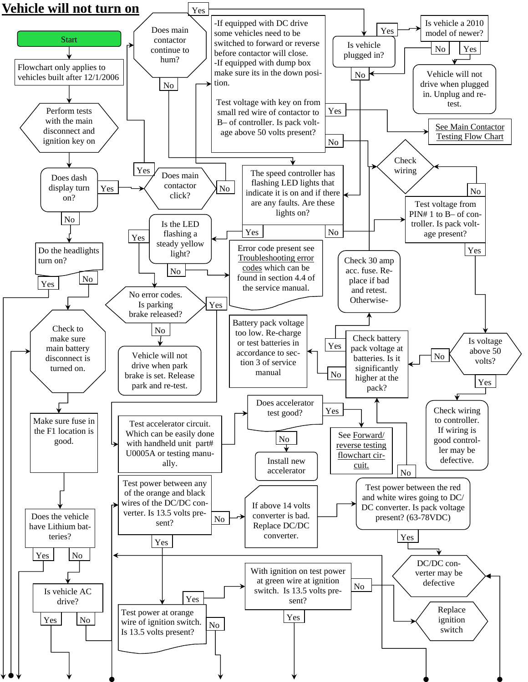